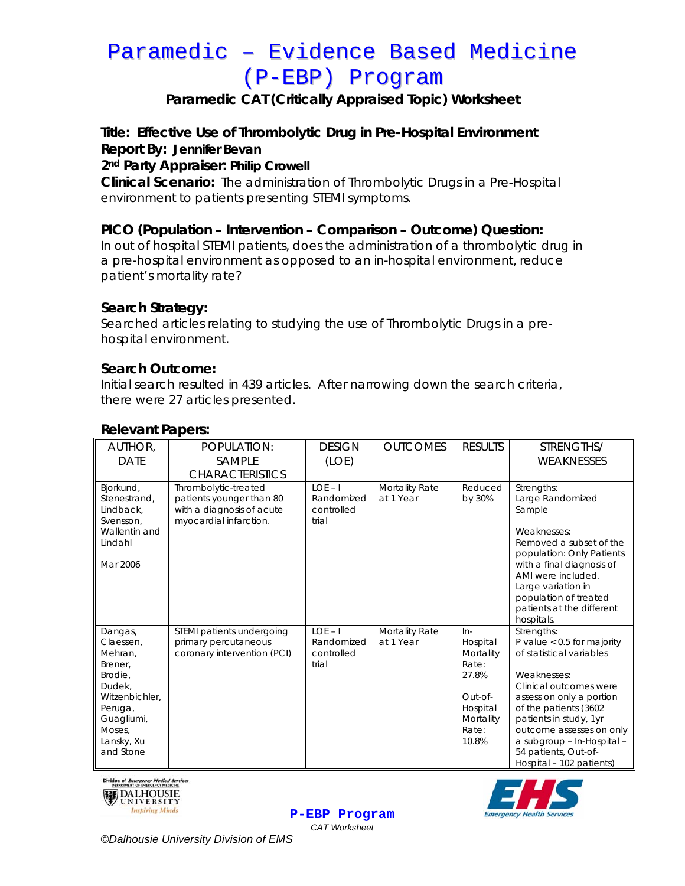## Paramedic – Evidence Based Medicine (P-EBP) Program

### **Paramedic CAT (Critically Appraised Topic) Worksheet**

**Title: Effective Use of Thrombolytic Drug in Pre-Hospital Environment Report By: Jennifer Bevan**

**2nd Party Appraiser: Philip Crowell** 

**Clinical Scenario:** The administration of Thrombolytic Drugs in a Pre-Hospital environment to patients presenting STEMI symptoms.

#### **PICO (Population – Intervention – Comparison – Outcome) Question:**

In out of hospital STEMI patients, does the administration of a thrombolytic drug in a pre-hospital environment as opposed to an in-hospital environment, reduce patient's mortality rate?

#### **Search Strategy:**

Searched articles relating to studying the use of Thrombolytic Drugs in a prehospital environment.

#### **Search Outcome:**

Initial search resulted in 439 articles. After narrowing down the search criteria, there were 27 articles presented.

| AUTHOR,<br><b>DATE</b>                                                                                                                          | POPULATION:<br>SAMPLE                                                                                                             | <b>DESIGN</b><br>(LOE)                         | <b>OUTCOMES</b>             | <b>RESULTS</b>                                                                                         | STRENGTHS/<br>WEAKNESSES                                                                                                                                                                                                                                                                                     |
|-------------------------------------------------------------------------------------------------------------------------------------------------|-----------------------------------------------------------------------------------------------------------------------------------|------------------------------------------------|-----------------------------|--------------------------------------------------------------------------------------------------------|--------------------------------------------------------------------------------------------------------------------------------------------------------------------------------------------------------------------------------------------------------------------------------------------------------------|
| Bjorkund,<br>Stenestrand,<br>Lindback,<br>Svensson,<br>Wallentin and<br>Lindahl<br>Mar 2006                                                     | <b>CHARACTERISTICS</b><br>Thrombolytic-treated<br>patients younger than 80<br>with a diagnosis of acute<br>myocardial infarction. | $LOF-I$<br>Randomized<br>controlled<br>trial   | Mortality Rate<br>at 1 Year | Reduced<br>by 30%                                                                                      | Strengths:<br>Large Randomized<br>Sample<br>Weaknesses:<br>Removed a subset of the<br>population: Only Patients<br>with a final diagnosis of<br>AMI were included.<br>Large variation in<br>population of treated<br>patients at the different<br>hospitals.                                                 |
| Dangas,<br>Claessen,<br>Mehran,<br>Brener,<br>Brodie,<br>Dudek,<br>Witzenbichler.<br>Peruga,<br>Guagliumi,<br>Moses,<br>Lansky, Xu<br>and Stone | STEMI patients undergoing<br>primary percutaneous<br>coronary intervention (PCI)                                                  | $LOE - I$<br>Randomized<br>controlled<br>trial | Mortality Rate<br>at 1 Year | $In-$<br>Hospital<br>Mortality<br>Rate:<br>27.8%<br>Out-of-<br>Hospital<br>Mortality<br>Rate:<br>10.8% | Strengths:<br>P value $< 0.5$ for majority<br>of statistical variables<br>Weaknesses:<br>Clinical outcomes were<br>assess on only a portion<br>of the patients (3602<br>patients in study, 1yr<br>outcome assesses on only<br>a subgroup - In-Hospital -<br>54 patients, Out-of-<br>Hospital - 102 patients) |

**P-EBP Program** *CAT Worksheet* 

#### **Relevant Papers:**





*©Dalhousie University Division of EMS*